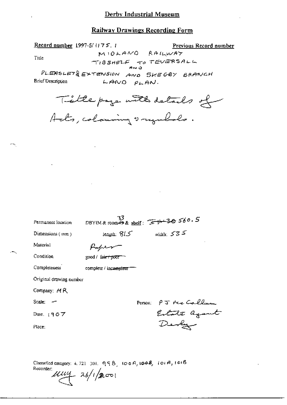### Railway Drawings Recording Form

Record number 1997-5/1175.1

Previous Record number

Title

MIOLANO RAILWAY TIBSHELF TO TEVERSALL

PLEASLET& EXTENSION AND SKEGBY BRANCH **Brief Description**  $LAMO$   $PLAN$ .

Tillepage with details of

| Permanent location      | 33.<br>DBYIM & room $\widetilde{49}$ & shelf: $\widetilde{47}$ $\cdots$ 3 $\oplus$ 560.5 |
|-------------------------|------------------------------------------------------------------------------------------|
| $Dimensions$ ( $nm$ )   | width: $535$<br>length: $815$                                                            |
| Material                |                                                                                          |
| Condition               | good / fa <del>ir / poor</del>                                                           |
| Completeness            | complete / incomplete                                                                    |
| Original drawing number |                                                                                          |
| Company: $MR$           |                                                                                          |
| Scale:                  | PJ Me Caller<br>Person:                                                                  |
| Date. $[907]$           | Estate against                                                                           |
| Place:                  | Devly                                                                                    |
|                         |                                                                                          |

Classified category: 4, 721-301,  $998, 1004, 1008, 1014, 1018$ Recorder:  $\mu$ uy 26/1/2001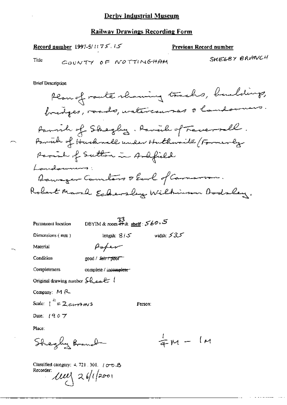### Railway Drawings Recording Form

Record number 1997-5/1175.15

#### Previous Record number

Title

COUNTY OF NOTTINGHAM

SHEGBY BRANCH

**Brief Description** 

| Permanent location                                                                              | DBYIM & room <del>#9</del> & <u>sherf</u> : 560. 5 |              |  |  |
|-------------------------------------------------------------------------------------------------|----------------------------------------------------|--------------|--|--|
| Dimensions (mm)                                                                                 | length: $8/5$                                      | width: $535$ |  |  |
| Material                                                                                        | Poper                                              |              |  |  |
| Condition                                                                                       | good / fair / poor                                 |              |  |  |
| Completeness                                                                                    | complete / incomplete-                             |              |  |  |
| Original drawing number $\mathcal{L}_{\mathcal{L}_{\mathcal{A}}}$ $\mathcal{L}_{\mathcal{A}}$ ( |                                                    |              |  |  |
| Company: $M R$                                                                                  |                                                    |              |  |  |
| Scale: $\int_0^h = 2c_1c_2$ and s                                                               |                                                    | Person:      |  |  |
| Date: $1907$                                                                                    |                                                    |              |  |  |
| Place:                                                                                          |                                                    |              |  |  |

 $\frac{1}{4}m - 1m$ Shegly Branch

Classified category: 4, 721, 301,  $\sqrt{CD}$   $\triangle$ Recorder:  $111$   $26/12001$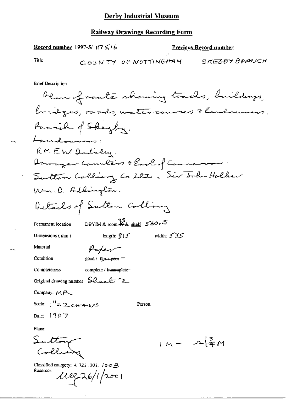# **Railway Drawings Recording Form**

Record number 1997-5/17 5,16

Previous Record number

Title

COUNTY OF NOTTINGHAM SKEZBY BRANCH

**Brief Description** 

| Plan of raute showing tracks, buildings,                                   |
|----------------------------------------------------------------------------|
| bridges, roads, watercourses & landowners.                                 |
| Family of Sheghy.                                                          |
| Landownans:                                                                |
| RMEW Dodsly.                                                               |
| Downger Counters & Earl of Cannon                                          |
| Sutton Colling Co Lts, Six Solutolker                                      |
| Um.D. Adlington.                                                           |
| Details of Sulton Colliany                                                 |
| DBYIM & room $\frac{33}{46}$ & shelf: $560.5$<br>Permanent location        |
| ككك width: كا<br>length: $915$<br>Dimensions $(mn)$                        |
| Material<br>Paper                                                          |
| Condition<br>good / fair <del>/ poor =</del>                               |
| complete / incomplete-<br>Completeness                                     |
| Original drawing number Sheet 2                                            |
| Company: $M$ $\sim$                                                        |
| Scale: $1'' = 2$ cross-<br>Person:                                         |
| Date: $1907$                                                               |
| Place:                                                                     |
| utton<br>$ m - \Lambda _{\mathfrak{T}}^3 M$                                |
| Classified category: $4.721$ , 301. $10.76$ B<br>Recorder:<br>112226/12001 |